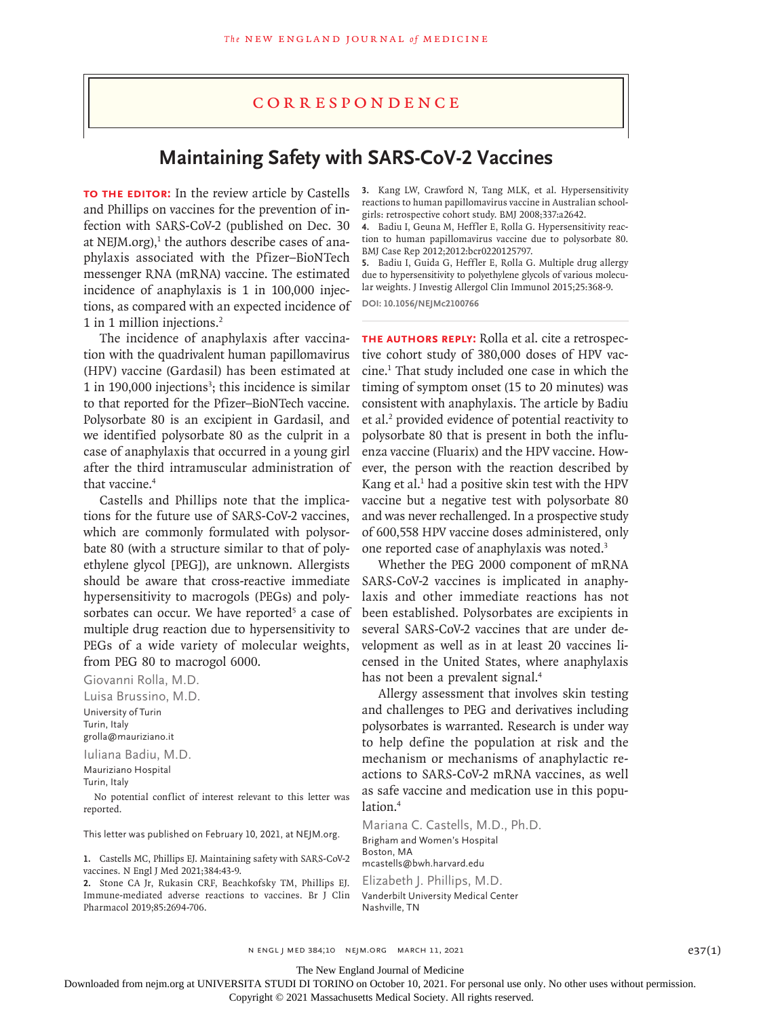## Correspondence

## **Maintaining Safety with SARS-CoV-2 Vaccines**

**TO THE EDITOR:** In the review article by Castells and Phillips on vaccines for the prevention of infection with SARS-CoV-2 (published on Dec. 30 at NEJM.org),<sup>1</sup> the authors describe cases of anaphylaxis associated with the Pfizer–BioNTech messenger RNA (mRNA) vaccine. The estimated incidence of anaphylaxis is 1 in 100,000 injections, as compared with an expected incidence of 1 in 1 million injections.2

The incidence of anaphylaxis after vaccination with the quadrivalent human papillomavirus (HPV) vaccine (Gardasil) has been estimated at 1 in 190,000 injections<sup>3</sup>; this incidence is similar to that reported for the Pfizer–BioNTech vaccine. Polysorbate 80 is an excipient in Gardasil, and we identified polysorbate 80 as the culprit in a case of anaphylaxis that occurred in a young girl after the third intramuscular administration of that vaccine.4

Castells and Phillips note that the implications for the future use of SARS-CoV-2 vaccines, which are commonly formulated with polysorbate 80 (with a structure similar to that of polyethylene glycol [PEG]), are unknown. Allergists should be aware that cross-reactive immediate hypersensitivity to macrogols (PEGs) and polysorbates can occur. We have reported<sup>5</sup> a case of multiple drug reaction due to hypersensitivity to PEGs of a wide variety of molecular weights, from PEG 80 to macrogol 6000.

Giovanni Rolla, M.D.

Luisa Brussino, M.D. University of Turin Turin, Italy grolla@mauriziano.it

Iuliana Badiu, M.D.

Mauriziano Hospital Turin, Italy

No potential conflict of interest relevant to this letter was reported.

This letter was published on February 10, 2021, at NEJM.org.

**1.** Castells MC, Phillips EJ. Maintaining safety with SARS-CoV-2 vaccines. N Engl J Med 2021;384:43-9.

**2.** Stone CA Jr, Rukasin CRF, Beachkofsky TM, Phillips EJ. Immune-mediated adverse reactions to vaccines. Br J Clin Pharmacol 2019;85:2694-706.

**3.** Kang LW, Crawford N, Tang MLK, et al. Hypersensitivity reactions to human papillomavirus vaccine in Australian schoolgirls: retrospective cohort study. BMJ 2008;337:a2642.

**4.** Badiu I, Geuna M, Heffler E, Rolla G. Hypersensitivity reaction to human papillomavirus vaccine due to polysorbate 80. BMJ Case Rep 2012;2012:bcr0220125797.

**5.** Badiu I, Guida G, Heffler E, Rolla G. Multiple drug allergy due to hypersensitivity to polyethylene glycols of various molecular weights. J Investig Allergol Clin Immunol 2015;25:368-9.

**DOI: 10.1056/NEJMc2100766**

**The authors reply:** Rolla et al. cite a retrospective cohort study of 380,000 doses of HPV vaccine.1 That study included one case in which the timing of symptom onset (15 to 20 minutes) was consistent with anaphylaxis. The article by Badiu et al.<sup>2</sup> provided evidence of potential reactivity to polysorbate 80 that is present in both the influenza vaccine (Fluarix) and the HPV vaccine. However, the person with the reaction described by Kang et al.<sup>1</sup> had a positive skin test with the HPV vaccine but a negative test with polysorbate 80 and was never rechallenged. In a prospective study of 600,558 HPV vaccine doses administered, only one reported case of anaphylaxis was noted.3

Whether the PEG 2000 component of mRNA SARS-CoV-2 vaccines is implicated in anaphylaxis and other immediate reactions has not been established. Polysorbates are excipients in several SARS-CoV-2 vaccines that are under development as well as in at least 20 vaccines licensed in the United States, where anaphylaxis has not been a prevalent signal.<sup>4</sup>

Allergy assessment that involves skin testing and challenges to PEG and derivatives including polysorbates is warranted. Research is under way to help define the population at risk and the mechanism or mechanisms of anaphylactic reactions to SARS-CoV-2 mRNA vaccines, as well as safe vaccine and medication use in this population.<sup>4</sup>

Mariana C. Castells, M.D., Ph.D. Brigham and Women's Hospital Boston, MA mcastells@bwh.harvard.edu Elizabeth J. Phillips, M.D. Vanderbilt University Medical Center

Nashville, TN

 $N$  ENGL J MED 384;10 NEJM.ORG MARCH 11, 2021 e37(1)

The New England Journal of Medicine

Downloaded from nejm.org at UNIVERSITA STUDI DI TORINO on October 10, 2021. For personal use only. No other uses without permission.

Copyright © 2021 Massachusetts Medical Society. All rights reserved.